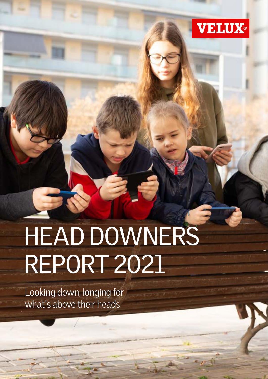

# HEAD DOWNERS REPORT 2021

Looking down, longing for what's above their heads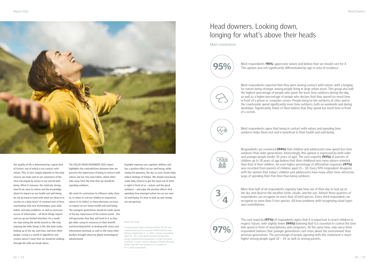

Our quality of life is determined by a great deal of factors, one of which is our contact with nature. This, in turn, largely depends on the daily choices we make and on our awareness of the vital role played by nature in our overall wellbeing. What if, however, the relatively strong need to be close to nature and the knowledge about its impact on our health and well-being do not go hand in hand with what we observe in society on a daily basis? A constant lack of time, overloading with new technologies, poor daily habits, everyday problems, as well as excessive access of information – all these things require and use up our limited attention. As a result, we stop seeing the world around us. We stop enjoying the little things in life, like daily walks, looking up at the sky and trees, and even other people. Living in a world of algorithms and screens doesn't mean that we should be walking through life with our heads down.

The VELUX HEAD DOWNERS 2021 report highlights the contradictions between how we perceive the importance of being in contact with nature and our very own habits, which often take away from the time that we should be spending outdoors.

We want its conclusions to influence daily choices; to allow us and our children to experience nature in its fullest, as these decisions are have an impact on our future health and well-being. The youngest generations should be made aware of the key importance of the natural world – this will guarantee that they will tend to it as they get older, using its resources to their benefit and becoming better at dealing with stress and information overload, as well as the many other burdens brought about by global technological advancement.

Daylight improves our cognitive abilities and has a positive effect on our well-being, while seeing live greenery, the sky, or even clouds helps reduce feelings of fatigue. We should consciously make daily choices to get the most out of what is right in front of us – nature and the great outdoors – and enjoy the positive effects that spending time amongst nature has on our mental well-being. It's time to look up and change our perspective.

> The vast majority (97%) of respondents agree that it is important to teach children to respect nature, with slightly fewer (94%) believing that it is essential to control the time kids spend in front of smartphones and computers. At the same time, only every third respondent believes that younger generations care more about the environment than previous generations. The percentage of people agreeing with this statement is much higher among people aged 18 – 34, as well as among parents.

### Head downers. Looking down, longing for what's above their heads



Main conclusions



**95%** Most respondents (**95%**) appreciate nature and believe that we should care for it.<br>This opinion was not significantly differentiated by age or area of residence.



Most respondents agree that being in contact with nature and spending time outdoors helps them rest and is beneficial to their health and well-being.

Most respondents reported that they were lacking contact with nature, with a longing for nature being stronger among people living in large urban areas. This group also had the highest percentage of people who spent the least time outdoors during the day, as well as a higher percentage of people who declare that they spend too much time in front of a phone or computer screen. People living on the outskirts of cities and in the countryside spend significantly more time outdoors, both on weekends and during weekdays. Significantly fewer of them believe that they spend too much time in front of a screen.



 $\frac{1}{\Delta}$  $25$ 

Respondents are convinced (94%) that children and adolescents now spend less time outdoors than older generations. Interestingly, this opinion is expressed by both older and vounger people (under 35 years of age). The vast majority (93%) of parents of children up to 18 years of age believe that their childhood was more nature-oriented than that of their children. An even higher percentage of affirmative responses (97%) was recorded from parents of children aged 15 – 18. Every fifth respondent disagrees with the opinion that today's children and adolescents have many other more attractive ways of spending their free time than being outdoors.



97%

More than half of all respondents regularly take time out of their day to look up at the sky and observe the weather, birds, clouds, and the sun. Almost three-quarters of respondents can recognize no more than 10 bird species. Every third respondent can recognize no more than 5 tree species. All have problems with recognizing cloud types and constellations.

#### About the study

A comparative study commissioned by VELUX and conducted by Kantar using the CAWI method, held between September 3 – 6, 2021, among respondents aged 18 – 65, using representative demographic groups modelling the populations of eight European countries: Croatia, Czechia, Hungary, Poland, Romania, Serbia, Slovakia and Slovenia, on a sample of N = 2 408 respondents.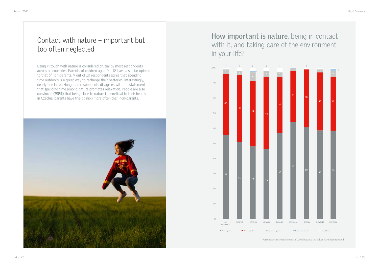### Contact with nature – important but too often neglected

## **How important is nature**, being in contact with it, and taking care of the environment in your life?

Being in touch with nature is considered crucial by most respondents across all countries. Parents of children aged 0 – 18 have a similar opinion to that of non-parents. 9 out of 10 respondents agree that spending time outdoors is a great way to recharge their batteries. Interestingly, nearly one in ten Hungarian respondents disagrees with the statement that spending time among nature promotes relaxation. People are also convinced (93%) that being close to nature is beneficial to their health. In Czechia, parents have this opinion more often than non-parents.



Percentages may not sum up to 100% because the values have been rounded.



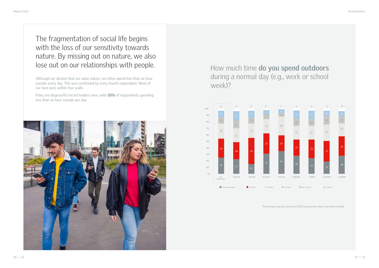# The fragmentation of social life begins with the loss of our sensitivity towards nature. By missing out on nature, we also

# lose out on our relationships with people. How much time do you spend outdoors during a normal day (e.g., work or school week)?

Poles are disgraceful record holders here, with 35% of respondents spending less than an hour outside per day.



Although we declare that we value nature, we often spend less than an hour outside every day. This was confirmed by every fourth respondent. Most of our lives pass within four walls.

Percentages may not sum up to 100% because the values have been rounded.



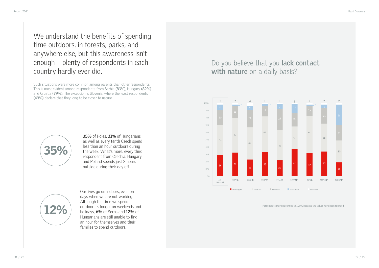



35% of Poles, 31% of Hungarians as well as every tenth Czech spend less than an hour outdoors during the week. What's more, every third respondent from Czechia, Hungary and Poland spends just 2 hours outside during their day off.

Our lives go on indoors, even on days when we are not working. Although the time we spend outdoors is longer on weekends and holidays, 6% of Serbs and 12% of Hungarians are still unable to find an hour for themselves and their families to spend outdoors.

We understand the benefits of spending time outdoors, in forests, parks, and anywhere else, but this awareness isn't enough – plenty of respondents in each country hardly ever did.

Such situations were more common among parents than other respondents. This is most evident among respondents from Serbia **(83%)**, Hungary **(82%)** and Croatia **(79%)**. The exception is Slovenia, where the least respondents **(49%)** declare that they long to be closer to nature.



Percentages may not sum up to 100% because the values have been rounded.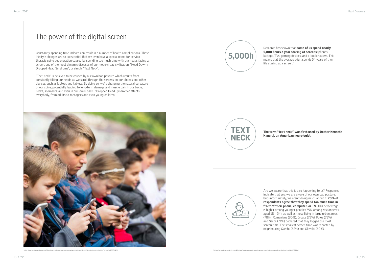#### The power of the digital screen

Constantly spending time indoors can result in a number of health complications. These lifestyle changes are so substantial that we even have a special name for cervicothoracic spine degeneration caused by spending too much time with our heads facing a screen, one of the most dynamic diseases of our modern-day civilization: "Head Down / Dropped Head Syndrome", or simply "Text Neck".

#### Research has shown that some of us spend nearly 5,000 hours a year staring at screens: phones, laptops, TVs, gaming devices, and e-book readers. This means that the average adult spends 34 years of their

"Text Neck" is believed to be caused by our own bad posture which results from constantly tilting our heads as we scroll through the screens on our phones and other devices, such as laptops and tablets. By doing so, we're changing the natural curvature of our spine, potentially leading to long-term damage and muscle pain in our backs, necks, shoulders, and even in our lower back. $^1$  "Dropped Head Syndrome" affects everybody, from adults to teenagers and even young children.





life staring at a screen.<sup>2</sup>



Are we aware that this is also happening to us? Responses indicate that yes, we are aware of our own bad posture, but unfortunately, we aren't doing much about it. 70% of respondents agree that they spend too much time in front of their phone, computer, or TV. This percentage is higher among younger people (75% among respondents aged 18 – 34), as well as those living in large urban areas (78%). Romanians (80%), Croats (73%), Poles (73%) and Serbs (74%) declared that they logged the most screen time. The smallest screen time was reported by neighbouring Czechs (62%) and Slovaks (60%).

The term "text neck" was first used by Doctor Kenneth Hansraj, an American neurologist.



1 https://www.primalpictures.com/blogs/text-neck-anatomy-modern-spine-condition/; https://aip.scitation.org/doi/abs/10.1063/5.0036429 2 https://www.independent.co.uk/life-style/fashion/news/screen-time-average-lifetime-years-phone-laptop-tv-a9508751.html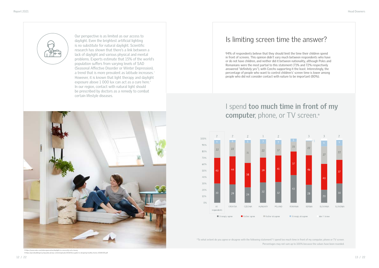

Our perspective is as limited as our access to daylight. Even the brightest artificial lighting is no substitute for natural daylight. Scientific research has shown that there's a link between a lack of daylight and various physical and mental problems. Experts estimate that 15% of the world's population suffers from varying levels of SAD (Seasonal Affective Disorder or Winter Depression), a trend that is more prevalent as latitude increases.<sup>3</sup> However, it is known that light therapy and daylight exposure above 1 000 lux can act as a cure here.<sup>4</sup> In our region, contact with natural light should be prescribed by doctors as a remedy to combat certain lifestyle diseases.



#### I spend **too much time in front of my computer**, phone, or TV screen.\*

Is limiting screen time the answer?

94% of respondents believe that they should limit the time their children spend in front of screens. This opinion didn't vary much between respondents who have or do not have children, and neither did it between nationality, although Poles and Romanians were the most partial to this statement (71% and 72% respectively answered "definitely yes"), with Czechs supporting it the least. Interestingly, the percentage of people who want to control children's' screen time is lower among people who did not consider contact with nature to be important (80%).

\*To what extent do you agree or disagree with the following statement? I spend too much time in front of my computer, phone or TV screen. Percentages may not sum up to 100% because the values have been rounded.

3 https://www.velux.com/indoorgeneration/daylight-is-a-necessity-not-a-luxury 4 https://greenbuildingencyclopaedia.uk/wp-content/uploads/2018/06/a-guide-to-designing-healthy-homes-20180305.pdf



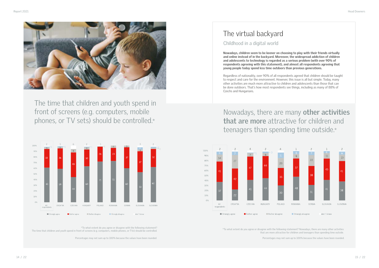

The time that children and youth spend in front of screens (e.g. computers, mobile phones, or TV sets) should be controlled.\*

### Nowadays, there are many **other activities that are more** attractive for children and teenagers than spending time outside.\*

Childhood in a digital world

## The virtual backyard

**Nowadays, children seem to be keener on choosing to play with their friends virtually and online instead of in the backyard. Moreover, the widespread addiction of children and adolescents to technology is regarded as a serious problem (with over 90% of respondents agreeing with this statement), and almost all respondents agreeing that young people today spend less time outdoors than previous generations.**

\*To what extent do you agree or disagree with the following statement? The time that children and youth spend in front of screens (e.g. computers, mobile phones, or TVs) should be controlled.<br>The time that children and youth spend in front of screens (e.g. computers, mobile phones, or TVs) sh

Regardless of nationality, over 90% of all respondents agreed that children should be taught to respect and care for the environment. However, this issue is all but simple. Today, many other activities are much more attractive to children and adolescents than those that can be done outdoors. That's how most respondents see things, including as many of 88% of Czechs and Hungarians.

that are more attractive for children and teenagers than spending time outside.

Percentages may not sum up to 100% because the values have been rounded. Percentages may not sum up to 100% because the values have been rounded.





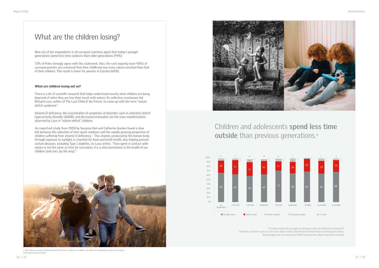

#### Children and adolescents **spend less time outside** than previous generations.\*



#### What are the children losing?

Nine out of ten respondents in all surveyed countries agree that today's younger generations spend less time outdoors than older generations (94%).

72% of Poles strongly agree with this statement. Also, the vast majority (over 90%) of surveyed parents are convinced that their childhood was more nature-oriented than that of their children. This result is lower for parents in Czechia (60%).

#### What are children losing out on?

There is a lot of scientific research that helps understand exactly what children are being deprived of when they are lose their touch with nature. Its collective conclusions led Richard Louv, author of The Last Child of the Forest, to come up with the term "nature deficit syndrome."

Vitamin D deficiency, the exacerbation of symptoms of disorders such as attention deficit hyperactivity disorder (ADHD), and decreased motivation are the main manifestations observed by Louv in "nature-deficit" children.

An important study from 2008 by Susanna Huh and Catherine Gordon found a clear link between the reduction of time spent outdoors and the rapidly growing proportion of children suffering from vitamin D deficiency. $^{\mathrm{\tiny{5}}}$  This vitamin, produced by the human body through exposure to sunlight, is essential for bone and tooth health, also helping prevent certain diseases. including Type 1 diabetes. As Louv writes: "Time spent in contact with nature is not the same as time for recreation; it is a vital investment in the health of our children (and ours, by the way)." 6

> \*To what extent do you agree or disagree with the following statement? Children and teens seem to care more about nature and the environment than previous generations. Percentages may not sum up to 100% because the values have been rounded.



5 https://www.researchgate.net/publication/5675275\_Vitamin\_D\_Deficiency\_in\_Children\_and\_Adolescents\_Epidemiology\_Impact\_and\_Treatment 6 https://grist.org/article/schalit/

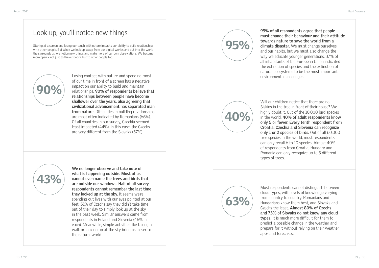#### Look up, you'll notice new things

Staring at a screen and losing our touch with nature impacts our ability to build relationships with other people. But when we look up, away from our digital worlds and out into the world the surrounds us, we notice new things and make more of our own observations. We become more open – not just to the outdoors, but to other people too.



40%





95%

Losing contact with nature and spending most of our time in front of a screen has a negative impact on our ability to build and maintain relationships. **90% of respondents believe that relationships between people have become shallower over the years, also agreeing that civilizational advancement has separated man from nature.** Difficulties in building relationships are most often indicated by Romanians (66%). Of all countries in our survey, Czechia seemed least impacted (44%). In this case, the Czechs are very different from the Slovaks (57%).

Will our children notice that there are no Siskins in the tree in front of their house? We highly doubt it. Out of the 10,000 bird species in the world, **40% of adult respondents know only 5 or fewer. Every tenth respondent from Croatia, Czechia and Slovenia can recognize only 1 or 2 species of birds.** Out of all 60,000 tree species in the world, most respondents can only recall 6 to 10 species. Almost 40% of respondents from Croatia, Hungary and Romania can only recognize up to 5 different types of trees.

**We no longer observe and take note of what is happening outside. Most of us cannot even name the trees and birds that are outside our windows. Half of all survey respondents cannot remember the last time they looked up at the sky.** It seems we're spending out lives with our eyes pointed at our feet. 51% of Czechs say they didn't take time out of their day to simply look up at the sky in the past week. Similar answers came from respondents in Poland and Slovenia (46% in each). Meanwhile, simple activities like taking a walk or looking up at the sky bring us closer to the natural world.

Most respondents cannot distinguish between cloud types, with levels of knowledge varying from country to country. Romanians and Hungarians know them best, and Slovaks and Czechs the least. **Almost 80% of Czechs and 73% of Slovaks do not know any cloud types.** It is much more difficult for them to predict a possible change in the weather and prepare for it without relying on their weather apps and forecasts.

**95% of all respondents agree that people must change their behaviour and their attitude towards nature to save the world from a climate disaster.** We must change ourselves and our habits, but we must also change the way we educate younger generations. 37% of all inhabitants of the European Union indicated the extinction of species and the extinction of natural ecosystems to be the most important environmental challenges.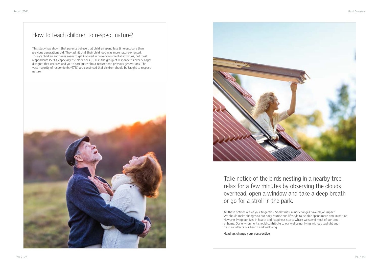#### How to teach children to respect nature?

This study has shown that parents believe that children spend less time outdoors than previous generations did. They admit that their childhood was more nature-oriented. Today's children and teens seem to get involved in pro-environmental activities, but most respondents (55%), especially the older ones (61% in the group of respondents over 50 age) disagree that children and youth care more about nature than previous generations. The vast majority of respondents (97%) are convinced that children should be taught to respect nature.





Take notice of the birds nesting in a nearby tree, relax for a few minutes by observing the clouds overhead, open a window and take a deep breath or go for a stroll in the park.

All these options are at your fingertips. Sometimes, minor changes have major impact. We should make changes to our daily routine and lifestyle to be able spend more time in nature. However living our lives in health and happiness starts where we spend most of our time at home. Our environment should contribute to our wellbeing, living without daylight and fresh air affects our health and wellbeing.

**Head up, change your perspective**